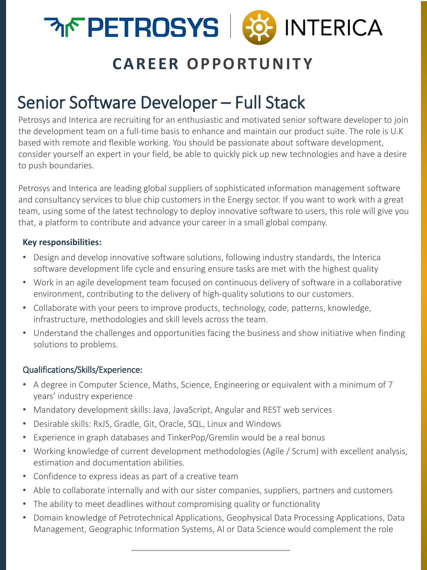

## **CAREER OPPORTUNITY**

# Senior Software Developer – Full Stack

Petrosys and Interica are recruiting for an enthusiastic and motivated senior software developer to join the development team on a full-time basis to enhance and maintain our product suite. The role is U.K based with remote and flexible working. You should be passionate about software development, consider yourself an expert in your field, be able to quickly pick up new technologies and have a desire to push boundaries.

Petrosys and Interica are leading global suppliers of sophisticated information management software and consultancy services to blue chip customers in the Energy sector. If you want to work with a great team, using some of the latest technology to deploy innovative software to users, this role will give you that, a platform to contribute and advance your career in a small global company.

#### **Key responsibilities:**

- Design and develop innovative software solutions, following industry standards, the Interica software development life cycle and ensuring ensure tasks are met with the highest quality
- Work in an agile development team focused on continuous delivery of software in a collaborative environment, contributing to the delivery of high-quality solutions to our customers.
- Collaborate with your peers to improve products, technology, code, patterns, knowledge, infrastructure, methodologies and skill levels across the team.
- Understand the challenges and opportunities facing the business and show initiative when finding solutions to problems.

#### Qualifications/Skills/Experience:

- A degree in Computer Science, Maths, Science, Engineering or equivalent with a minimum of 7 years' industry experience
- Mandatory development skills: Java, JavaScript, Angular and REST web services
- Desirable skills: RxJS, Gradle, Git, Oracle, SQL, Linux and Windows
- Experience in graph databases and TinkerPop/Gremlin would be a real bonus
- Working knowledge of current development methodologies (Agile / Scrum) with excellent analysis, estimation and documentation abilities.
- Confidence to express ideas as part of a creative team
- Able to collaborate internally and with our sister companies, suppliers, partners and customers
- The ability to meet deadlines without compromising quality or functionality
- Domain knowledge of Petrotechnical Applications, Geophysical Data Processing Applications, Data Management, Geographic Information Systems, AI or Data Science would complement the role